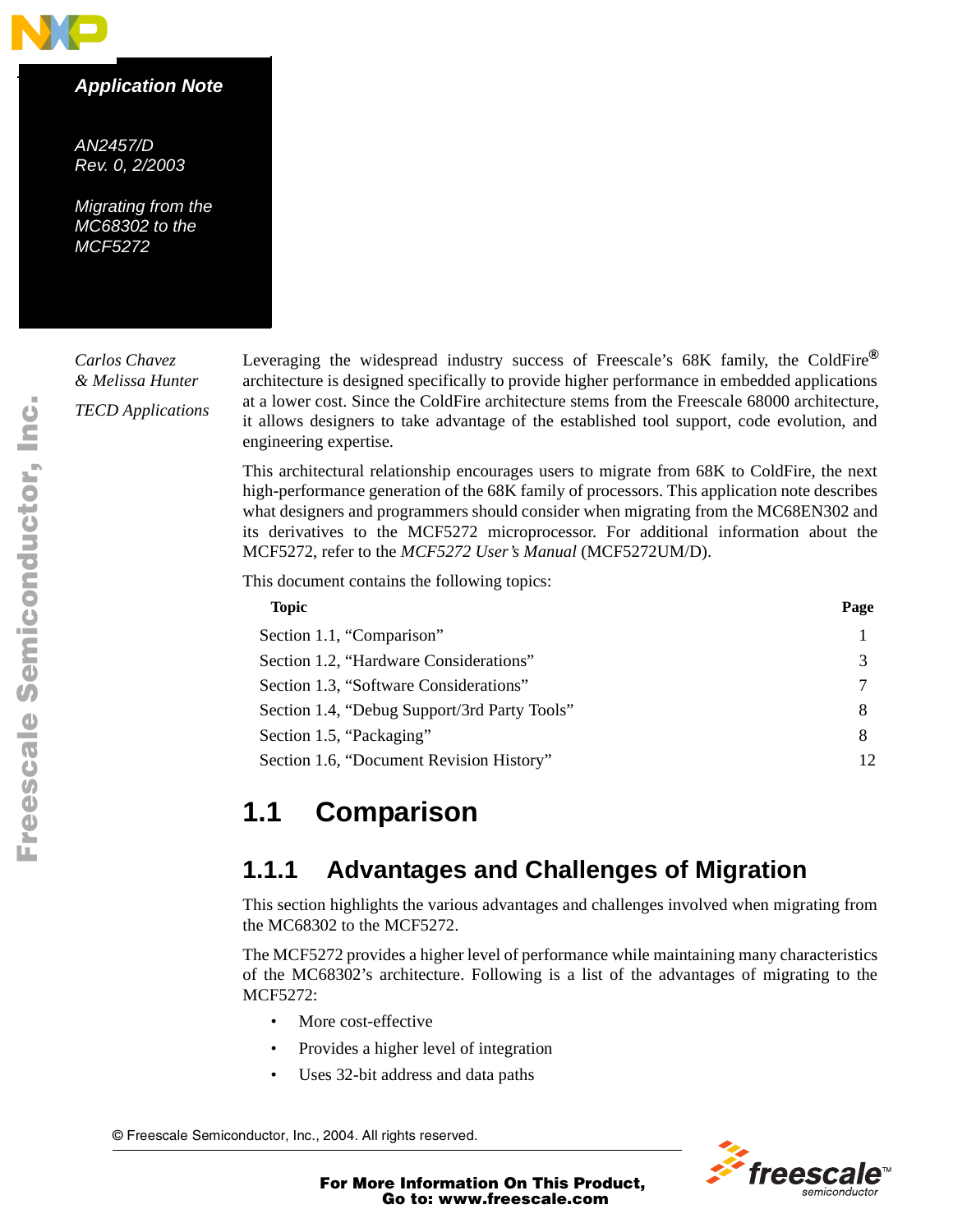

#### **Application Note**

<span id="page-0-1"></span>AN2457/D Rev. 0, 2/2003

Migrating from the MC68302 to the MCF5272

*Carlos Chavez & Melissa Hunter TECD Applications* Leveraging the widespread industry success of Freescale's 68K family, the ColdFire**®** architecture is designed specifically to provide higher performance in embedded applications at a lower cost. Since the ColdFire architecture stems from the Freescale 68000 architecture, it allows designers to take advantage of the established tool support, code evolution, and engineering expertise.

This architectural relationship encourages users to migrate from 68K to ColdFire, the next high-performance generation of the 68K family of processors. This application note describes what designers and programmers should consider when migrating from the MC68EN302 and its derivatives to the MCF5272 microprocessor. For additional information about the MCF5272, refer to the *MCF5272 User's Manual* (MCF5272UM/D).

This document contains the following topics:

| <b>Topic</b>                                 | Page |
|----------------------------------------------|------|
| Section 1.1, "Comparison"                    |      |
| Section 1.2, "Hardware Considerations"       |      |
| Section 1.3, "Software Considerations"       |      |
| Section 1.4, "Debug Support/3rd Party Tools" |      |
| Section 1.5, "Packaging"                     |      |
| Section 1.6, "Document Revision History"     | 12   |

## <span id="page-0-0"></span>**1.1 Comparison**

## **1.1.1 Advantages and Challenges of Migration**

This section highlights the various advantages and challenges involved when migrating from the MC68302 to the MCF5272.

The MCF5272 provides a higher level of performance while maintaining many characteristics of the MC68302's architecture. Following is a list of the advantages of migrating to the MCF5272:

- More cost-effective
- Provides a higher level of integration
- Uses 32-bit address and data paths

© Freescale Semiconductor, Inc., 2004. All rights reserved.



For More Information On This Product, Go to: www.freescale.com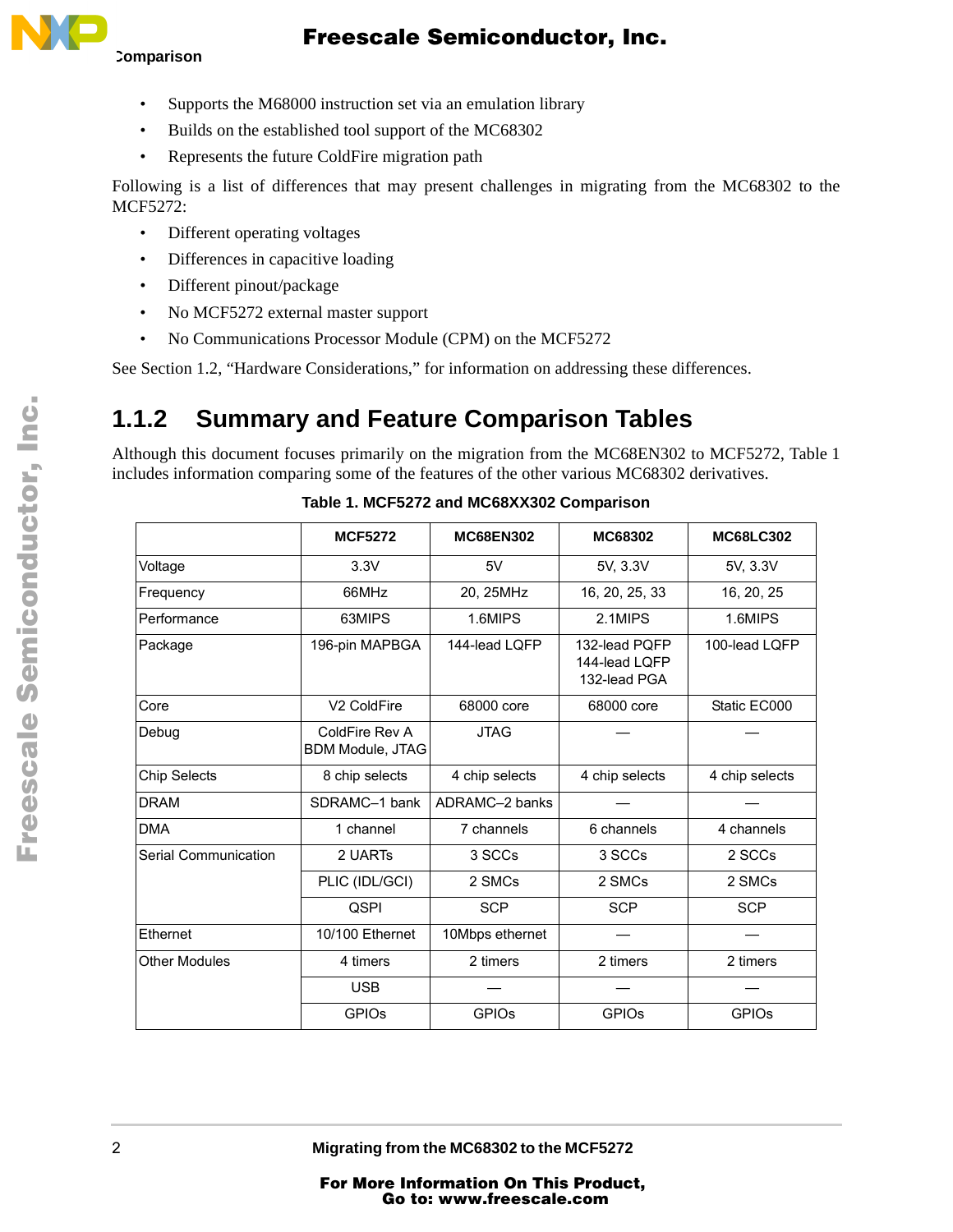

- Supports the M68000 instruction set via an emulation library
- Builds on the established tool support of the MC68302
- Represents the future ColdFire migration path

Following is a list of differences that may present challenges in migrating from the MC68302 to the MCF5272:

- Different operating voltages
- Differences in capacitive loading
- Different pinout/package
- No MCF5272 external master support
- No Communications Processor Module (CPM) on the MCF5272

See [Section 1.2, "Hardware Considerations](#page-2-0)," for information on addressing these differences.

## **1.1.2 Summary and Feature Comparison Tables**

Although this document focuses primarily on the migration from the MC68EN302 to MCF5272, [Table 1](#page-1-0) includes information comparing some of the features of the other various MC68302 derivatives.

<span id="page-1-0"></span>

|                      | <b>MCF5272</b>                            | <b>MC68EN302</b> | MC68302                                        | MC68LC302               |
|----------------------|-------------------------------------------|------------------|------------------------------------------------|-------------------------|
| Voltage              | 3.3V                                      | 5V               | 5V, 3.3V                                       | 5V, 3.3V                |
| Frequency            | 66MHz                                     | 20, 25MHz        | 16, 20, 25, 33                                 | 16, 20, 25              |
| Performance          | 63MIPS                                    | 1.6MIPS          | 2.1MIPS                                        | 1.6MIPS                 |
| Package              | 196-pin MAPBGA                            | 144-lead LQFP    | 132-lead PQFP<br>144-lead LOFP<br>132-lead PGA | 100-lead LQFP           |
| Core                 | V <sub>2</sub> ColdFire                   | 68000 core       | 68000 core                                     | Static EC000            |
| Debug                | ColdFire Rev A<br><b>BDM Module, JTAG</b> | <b>JTAG</b>      |                                                |                         |
| <b>Chip Selects</b>  | 8 chip selects                            | 4 chip selects   | 4 chip selects                                 | 4 chip selects          |
| <b>DRAM</b>          | SDRAMC-1 bank                             | ADRAMC-2 banks   |                                                |                         |
| <b>DMA</b>           | 1 channel                                 | 7 channels       | 6 channels                                     | 4 channels              |
| Serial Communication | 2 UART <sub>s</sub>                       | 3 SCCs           | 3 SCCs                                         | 2 SCCs                  |
|                      | PLIC (IDL/GCI)                            | 2 SMCs           | 2 SMCs                                         | 2 SMCs                  |
|                      | <b>QSPI</b>                               | <b>SCP</b>       | <b>SCP</b>                                     | <b>SCP</b>              |
| Ethernet             | 10/100 Ethernet                           | 10Mbps ethernet  |                                                |                         |
| <b>Other Modules</b> | 4 timers                                  | 2 timers         | 2 timers                                       | 2 timers                |
|                      | <b>USB</b>                                |                  |                                                |                         |
|                      | <b>GPIO<sub>s</sub></b>                   | <b>GPIOs</b>     | <b>GPIOs</b>                                   | <b>GPIO<sub>s</sub></b> |

#### **Table 1. MCF5272 and MC68XX302 Comparison**

2 **Migrating from the MC68302 to the MCF5272**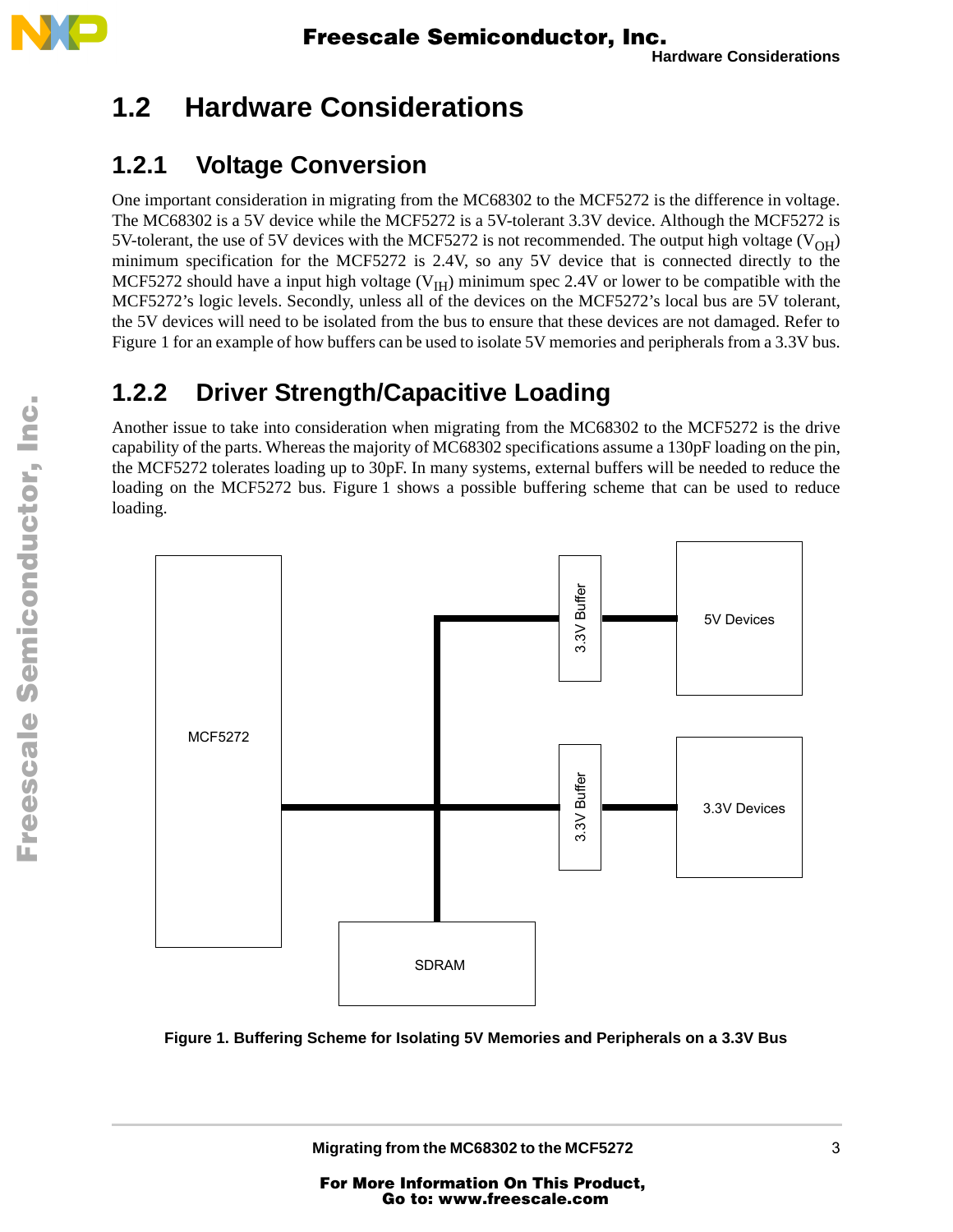

# <span id="page-2-0"></span>**1.2 Hardware Considerations**

## **1.2.1 Voltage Conversion**

One important consideration in migrating from the MC68302 to the MCF5272 is the difference in voltage. The MC68302 is a 5V device while the MCF5272 is a 5V-tolerant 3.3V device. Although the MCF5272 is 5V-tolerant, the use of 5V devices with the MCF5272 is not recommended. The output high voltage ( $V_{OH}$ ) minimum specification for the MCF5272 is 2.4V, so any 5V device that is connected directly to the MCF5272 should have a input high voltage  $(V_{IH})$  minimum spec 2.4V or lower to be compatible with the MCF5272's logic levels. Secondly, unless all of the devices on the MCF5272's local bus are 5V tolerant, the 5V devices will need to be isolated from the bus to ensure that these devices are not damaged. Refer to [Figure 1](#page-2-1) for an example of how buffers can be used to isolate 5V memories and peripherals from a 3.3V bus.

# **1.2.2 Driver Strength/Capacitive Loading**

Another issue to take into consideration when migrating from the MC68302 to the MCF5272 is the drive capability of the parts. Whereas the majority of MC68302 specifications assume a 130pF loading on the pin, the MCF5272 tolerates loading up to 30pF. In many systems, external buffers will be needed to reduce the loading on the MCF5272 bus. [Figure 1](#page-2-1) shows a possible buffering scheme that can be used to reduce loading.



<span id="page-2-1"></span>**Figure 1. Buffering Scheme for Isolating 5V Memories and Peripherals on a 3.3V Bus**

**Migrating from the MC68302 to the MCF5272** 3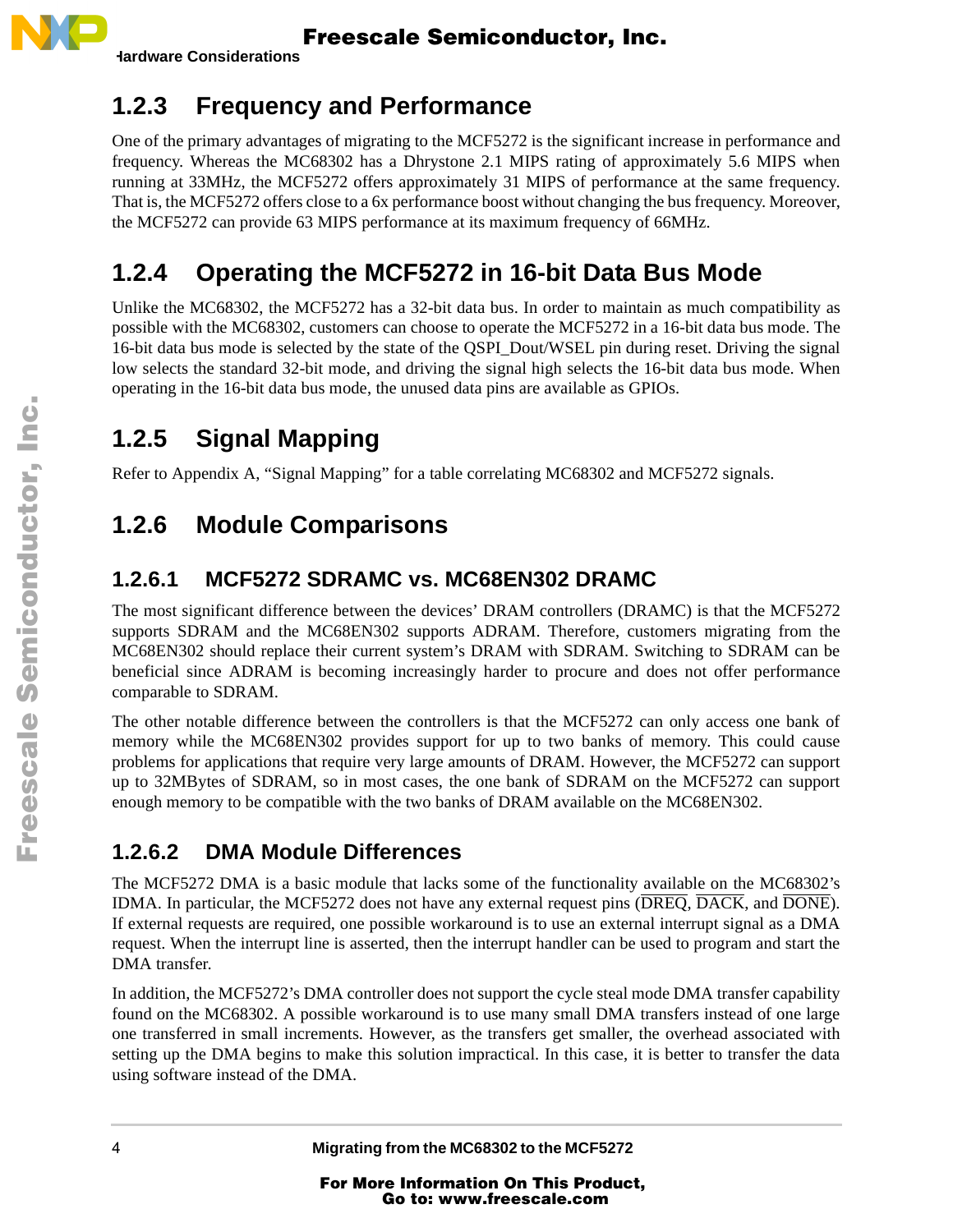

**Hardware Considerations** 

## **1.2.3 Frequency and Performance**

One of the primary advantages of migrating to the MCF5272 is the significant increase in performance and frequency. Whereas the MC68302 has a Dhrystone 2.1 MIPS rating of approximately 5.6 MIPS when running at 33MHz, the MCF5272 offers approximately 31 MIPS of performance at the same frequency. That is, the MCF5272 offers close to a 6x performance boost without changing the bus frequency. Moreover, the MCF5272 can provide 63 MIPS performance at its maximum frequency of 66MHz.

## **1.2.4 Operating the MCF5272 in 16-bit Data Bus Mode**

Unlike the MC68302, the MCF5272 has a 32-bit data bus. In order to maintain as much compatibility as possible with the MC68302, customers can choose to operate the MCF5272 in a 16-bit data bus mode. The 16-bit data bus mode is selected by the state of the QSPI\_Dout/WSEL pin during reset. Driving the signal low selects the standard 32-bit mode, and driving the signal high selects the 16-bit data bus mode. When operating in the 16-bit data bus mode, the unused data pins are available as GPIOs.

## **1.2.5 Signal Mapping**

Refer to [Appendix A, "Signal Mapping](#page-9-0)" for a table correlating MC68302 and MCF5272 signals.

## **1.2.6 Module Comparisons**

### **1.2.6.1 MCF5272 SDRAMC vs. MC68EN302 DRAMC**

The most significant difference between the devices' DRAM controllers (DRAMC) is that the MCF5272 supports SDRAM and the MC68EN302 supports ADRAM. Therefore, customers migrating from the MC68EN302 should replace their current system's DRAM with SDRAM. Switching to SDRAM can be beneficial since ADRAM is becoming increasingly harder to procure and does not offer performance comparable to SDRAM.

The other notable difference between the controllers is that the MCF5272 can only access one bank of memory while the MC68EN302 provides support for up to two banks of memory. This could cause problems for applications that require very large amounts of DRAM. However, the MCF5272 can support up to 32MBytes of SDRAM, so in most cases, the one bank of SDRAM on the MCF5272 can support enough memory to be compatible with the two banks of DRAM available on the MC68EN302.

### **1.2.6.2 DMA Module Differences**

The MCF5272 DMA is a basic module that lacks some of the functionality available on the MC68302's IDMA. In particular, the MCF5272 does not have any external request pins (DREQ, DACK, and DONE). If external requests are required, one possible workaround is to use an external interrupt signal as a DMA request. When the interrupt line is asserted, then the interrupt handler can be used to program and start the DMA transfer.

In addition, the MCF5272's DMA controller does not support the cycle steal mode DMA transfer capability found on the MC68302. A possible workaround is to use many small DMA transfers instead of one large one transferred in small increments. However, as the transfers get smaller, the overhead associated with setting up the DMA begins to make this solution impractical. In this case, it is better to transfer the data using software instead of the DMA.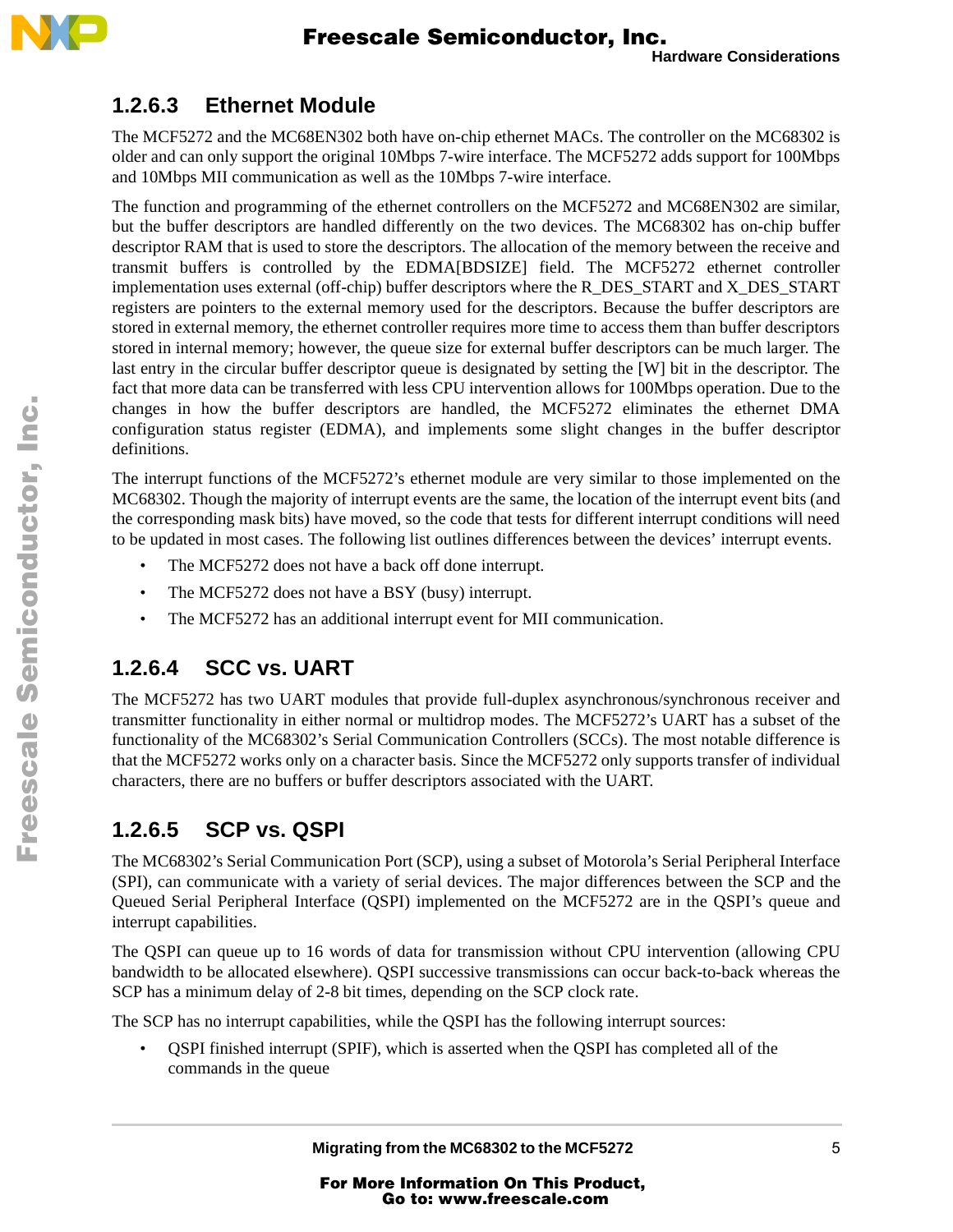

### **1.2.6.3 Ethernet Module**

The MCF5272 and the MC68EN302 both have on-chip ethernet MACs. The controller on the MC68302 is older and can only support the original 10Mbps 7-wire interface. The MCF5272 adds support for 100Mbps and 10Mbps MII communication as well as the 10Mbps 7-wire interface.

The function and programming of the ethernet controllers on the MCF5272 and MC68EN302 are similar, but the buffer descriptors are handled differently on the two devices. The MC68302 has on-chip buffer descriptor RAM that is used to store the descriptors. The allocation of the memory between the receive and transmit buffers is controlled by the EDMA[BDSIZE] field. The MCF5272 ethernet controller implementation uses external (off-chip) buffer descriptors where the R\_DES\_START and X\_DES\_START registers are pointers to the external memory used for the descriptors. Because the buffer descriptors are stored in external memory, the ethernet controller requires more time to access them than buffer descriptors stored in internal memory; however, the queue size for external buffer descriptors can be much larger. The last entry in the circular buffer descriptor queue is designated by setting the [W] bit in the descriptor. The fact that more data can be transferred with less CPU intervention allows for 100Mbps operation. Due to the changes in how the buffer descriptors are handled, the MCF5272 eliminates the ethernet DMA configuration status register (EDMA), and implements some slight changes in the buffer descriptor definitions.

The interrupt functions of the MCF5272's ethernet module are very similar to those implemented on the MC68302. Though the majority of interrupt events are the same, the location of the interrupt event bits (and the corresponding mask bits) have moved, so the code that tests for different interrupt conditions will need to be updated in most cases. The following list outlines differences between the devices' interrupt events.

- The MCF5272 does not have a back off done interrupt.
- The MCF5272 does not have a BSY (busy) interrupt.
- The MCF5272 has an additional interrupt event for MII communication.

## **1.2.6.4 SCC vs. UART**

The MCF5272 has two UART modules that provide full-duplex asynchronous/synchronous receiver and transmitter functionality in either normal or multidrop modes. The MCF5272's UART has a subset of the functionality of the MC68302's Serial Communication Controllers (SCCs). The most notable difference is that the MCF5272 works only on a character basis. Since the MCF5272 only supports transfer of individual characters, there are no buffers or buffer descriptors associated with the UART.

## **1.2.6.5 SCP vs. QSPI**

The MC68302's Serial Communication Port (SCP), using a subset of Motorola's Serial Peripheral Interface (SPI), can communicate with a variety of serial devices. The major differences between the SCP and the Queued Serial Peripheral Interface (QSPI) implemented on the MCF5272 are in the QSPI's queue and interrupt capabilities.

The QSPI can queue up to 16 words of data for transmission without CPU intervention (allowing CPU bandwidth to be allocated elsewhere). QSPI successive transmissions can occur back-to-back whereas the SCP has a minimum delay of 2-8 bit times, depending on the SCP clock rate.

The SCP has no interrupt capabilities, while the QSPI has the following interrupt sources:

• QSPI finished interrupt (SPIF), which is asserted when the QSPI has completed all of the commands in the queue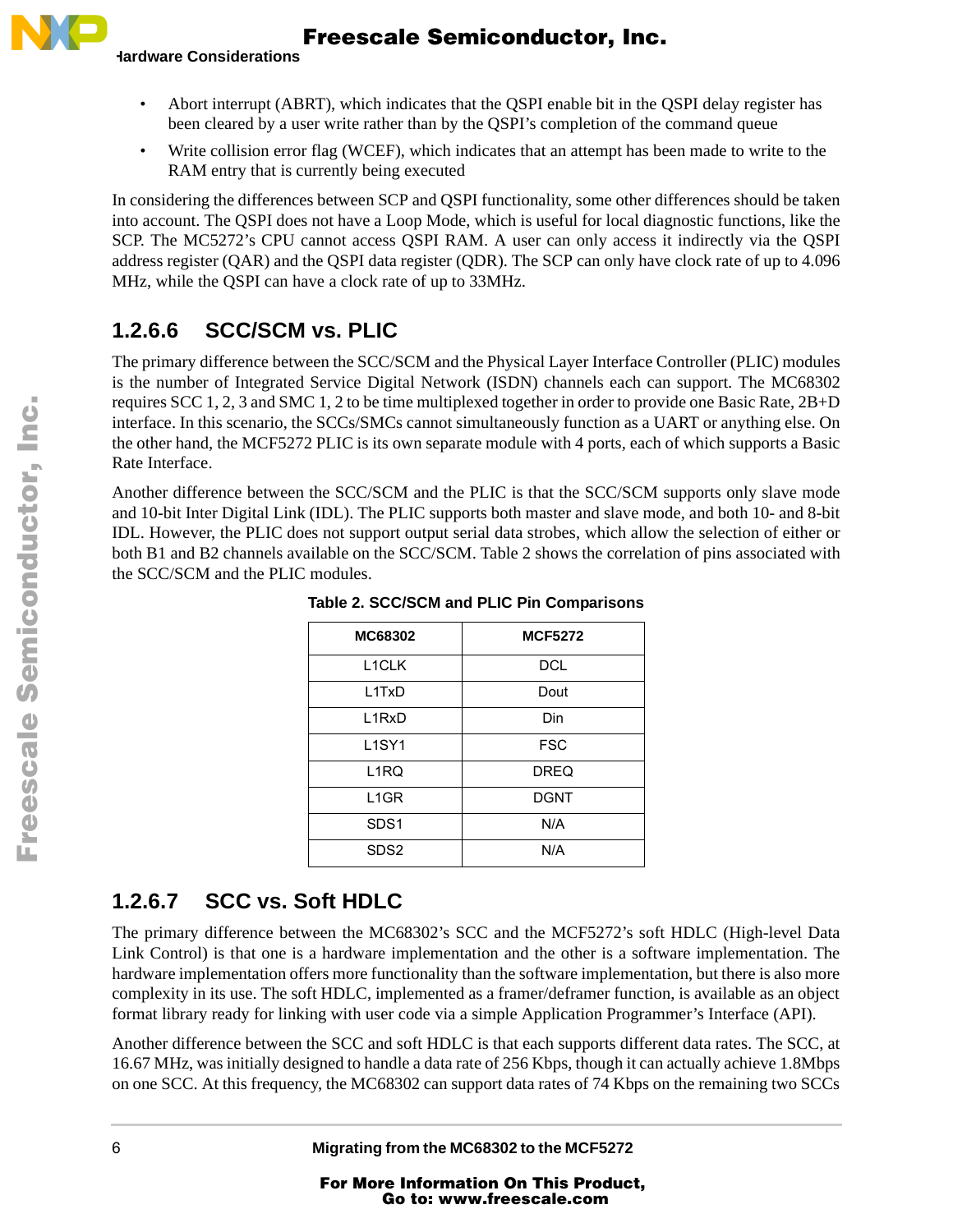**Hardware Considerations** 



- Abort interrupt (ABRT), which indicates that the QSPI enable bit in the QSPI delay register has been cleared by a user write rather than by the QSPI's completion of the command queue
- Write collision error flag (WCEF), which indicates that an attempt has been made to write to the RAM entry that is currently being executed

In considering the differences between SCP and QSPI functionality, some other differences should be taken into account. The QSPI does not have a Loop Mode, which is useful for local diagnostic functions, like the SCP. The MC5272's CPU cannot access QSPI RAM. A user can only access it indirectly via the QSPI address register (QAR) and the QSPI data register (QDR). The SCP can only have clock rate of up to 4.096 MHz, while the QSPI can have a clock rate of up to 33MHz.

## **1.2.6.6 SCC/SCM vs. PLIC**

The primary difference between the SCC/SCM and the Physical Layer Interface Controller (PLIC) modules is the number of Integrated Service Digital Network (ISDN) channels each can support. The MC68302 requires SCC 1, 2, 3 and SMC 1, 2 to be time multiplexed together in order to provide one Basic Rate, 2B+D interface. In this scenario, the SCCs/SMCs cannot simultaneously function as a UART or anything else. On the other hand, the MCF5272 PLIC is its own separate module with 4 ports, each of which supports a Basic Rate Interface.

<span id="page-5-0"></span>Another difference between the SCC/SCM and the PLIC is that the SCC/SCM supports only slave mode and 10-bit Inter Digital Link (IDL). The PLIC supports both master and slave mode, and both 10- and 8-bit IDL. However, the PLIC does not support output serial data strobes, which allow the selection of either or both B1 and B2 channels available on the SCC/SCM. [Table 2](#page-5-0) shows the correlation of pins associated with the SCC/SCM and the PLIC modules.

| MC68302                         | <b>MCF5272</b> |
|---------------------------------|----------------|
| <b>L1CLK</b>                    | <b>DCL</b>     |
| L1TxD                           | Dout           |
| L <sub>1</sub> R <sub>x</sub> D | Din            |
| L <sub>1</sub> SY <sub>1</sub>  | <b>FSC</b>     |
| L1RQ                            | <b>DREQ</b>    |
| L <sub>1</sub> GR               | <b>DGNT</b>    |
| SDS <sub>1</sub>                | N/A            |
| SD <sub>S2</sub>                | N/A            |

### **Table 2. SCC/SCM and PLIC Pin Comparisons**

## **1.2.6.7 SCC vs. Soft HDLC**

The primary difference between the MC68302's SCC and the MCF5272's soft HDLC (High-level Data Link Control) is that one is a hardware implementation and the other is a software implementation. The hardware implementation offers more functionality than the software implementation, but there is also more complexity in its use. The soft HDLC, implemented as a framer/deframer function, is available as an object format library ready for linking with user code via a simple Application Programmer's Interface (API).

Another difference between the SCC and soft HDLC is that each supports different data rates. The SCC, at 16.67 MHz, was initially designed to handle a data rate of 256 Kbps, though it can actually achieve 1.8Mbps on one SCC. At this frequency, the MC68302 can support data rates of 74 Kbps on the remaining two SCCs

r, I

n

.<br>ق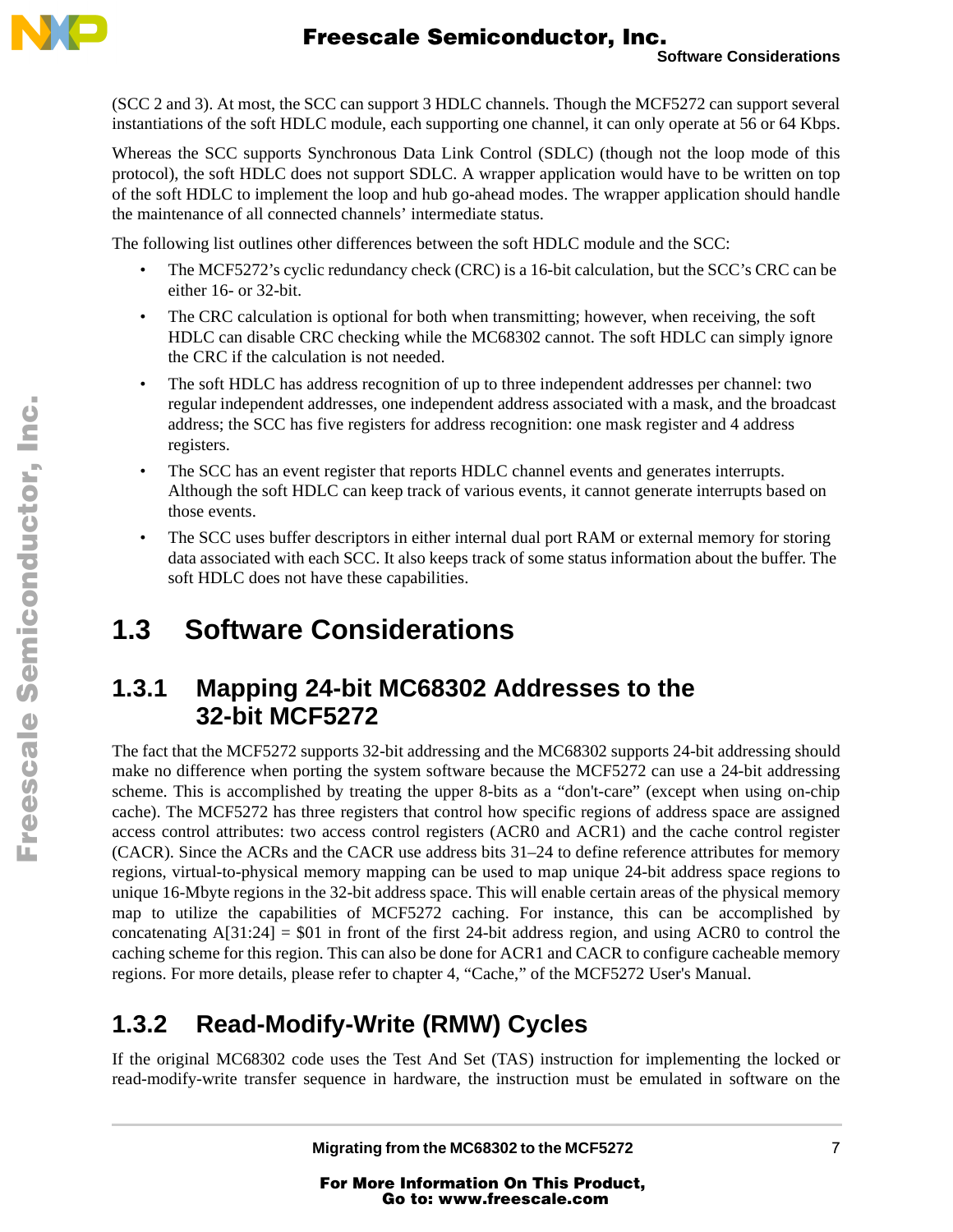

(SCC 2 and 3). At most, the SCC can support 3 HDLC channels. Though the MCF5272 can support several instantiations of the soft HDLC module, each supporting one channel, it can only operate at 56 or 64 Kbps.

Whereas the SCC supports Synchronous Data Link Control (SDLC) (though not the loop mode of this protocol), the soft HDLC does not support SDLC. A wrapper application would have to be written on top of the soft HDLC to implement the loop and hub go-ahead modes. The wrapper application should handle the maintenance of all connected channels' intermediate status.

The following list outlines other differences between the soft HDLC module and the SCC:

- The MCF5272's cyclic redundancy check (CRC) is a 16-bit calculation, but the SCC's CRC can be either 16- or 32-bit.
- The CRC calculation is optional for both when transmitting; however, when receiving, the soft HDLC can disable CRC checking while the MC68302 cannot. The soft HDLC can simply ignore the CRC if the calculation is not needed.
- The soft HDLC has address recognition of up to three independent addresses per channel: two regular independent addresses, one independent address associated with a mask, and the broadcast address; the SCC has five registers for address recognition: one mask register and 4 address registers.
- The SCC has an event register that reports HDLC channel events and generates interrupts. Although the soft HDLC can keep track of various events, it cannot generate interrupts based on those events.
- The SCC uses buffer descriptors in either internal dual port RAM or external memory for storing data associated with each SCC. It also keeps track of some status information about the buffer. The soft HDLC does not have these capabilities.

# <span id="page-6-0"></span>**1.3 Software Considerations**

## **1.3.1 Mapping 24-bit MC68302 Addresses to the 32-bit MCF5272**

The fact that the MCF5272 supports 32-bit addressing and the MC68302 supports 24-bit addressing should make no difference when porting the system software because the MCF5272 can use a 24-bit addressing scheme. This is accomplished by treating the upper 8-bits as a "don't-care" (except when using on-chip cache). The MCF5272 has three registers that control how specific regions of address space are assigned access control attributes: two access control registers (ACR0 and ACR1) and the cache control register (CACR). Since the ACRs and the CACR use address bits 31–24 to define reference attributes for memory regions, virtual-to-physical memory mapping can be used to map unique 24-bit address space regions to unique 16-Mbyte regions in the 32-bit address space. This will enable certain areas of the physical memory map to utilize the capabilities of MCF5272 caching. For instance, this can be accomplished by concatenating  $A[31:24] = $01$  in front of the first 24-bit address region, and using ACR0 to control the caching scheme for this region. This can also be done for ACR1 and CACR to configure cacheable memory regions. For more details, please refer to chapter 4, "Cache," of the MCF5272 User's Manual.

# **1.3.2 Read-Modify-Write (RMW) Cycles**

If the original MC68302 code uses the Test And Set (TAS) instruction for implementing the locked or read-modify-write transfer sequence in hardware, the instruction must be emulated in software on the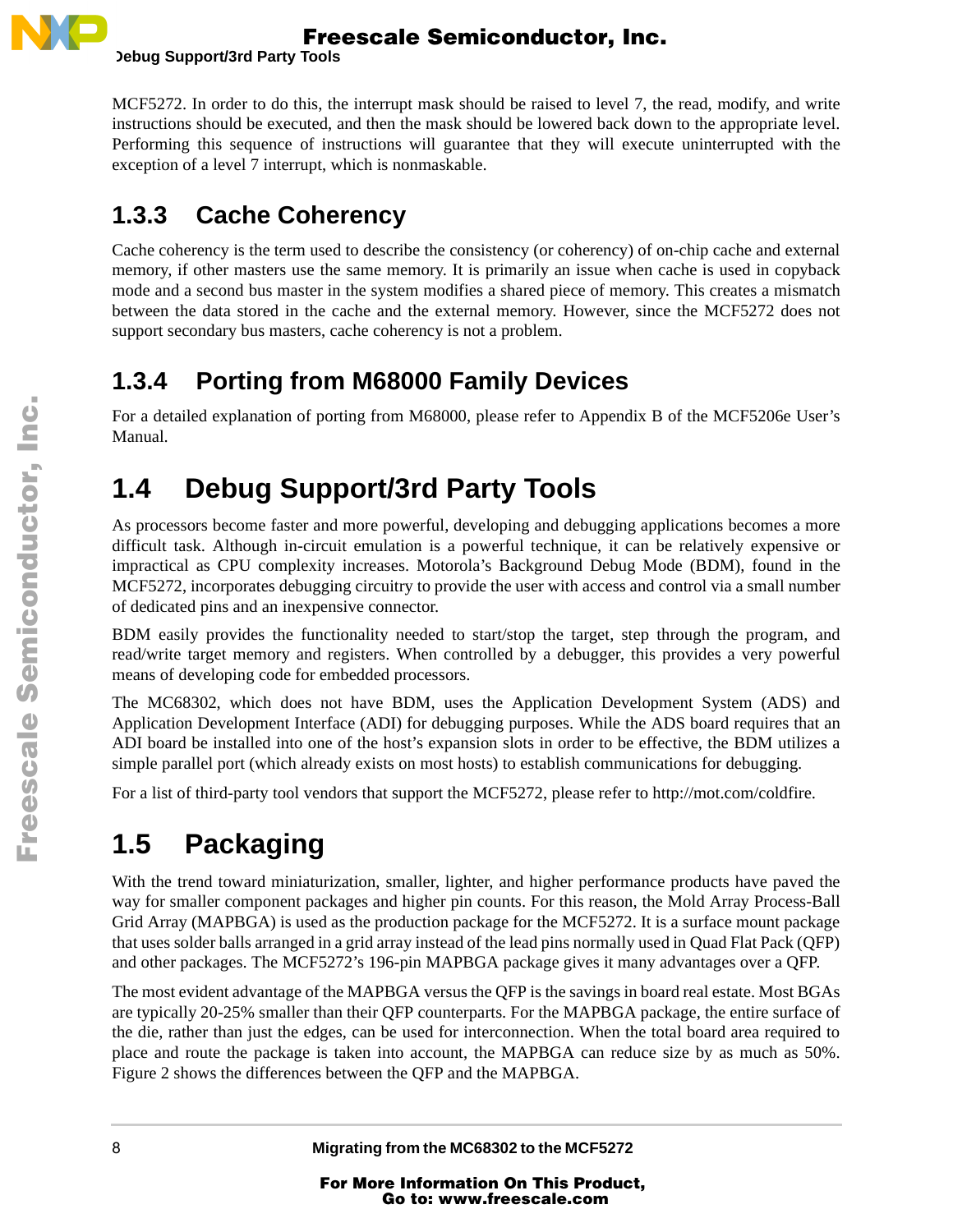

MCF5272. In order to do this, the interrupt mask should be raised to level 7, the read, modify, and write instructions should be executed, and then the mask should be lowered back down to the appropriate level. Performing this sequence of instructions will guarantee that they will execute uninterrupted with the exception of a level 7 interrupt, which is nonmaskable.

## **1.3.3 Cache Coherency**

Cache coherency is the term used to describe the consistency (or coherency) of on-chip cache and external memory, if other masters use the same memory. It is primarily an issue when cache is used in copyback mode and a second bus master in the system modifies a shared piece of memory. This creates a mismatch between the data stored in the cache and the external memory. However, since the MCF5272 does not support secondary bus masters, cache coherency is not a problem.

## **1.3.4 Porting from M68000 Family Devices**

For a detailed explanation of porting from M68000, please refer to Appendix B of the MCF5206e User's Manual.

# <span id="page-7-0"></span>**1.4 Debug Support/3rd Party Tools**

As processors become faster and more powerful, developing and debugging applications becomes a more difficult task. Although in-circuit emulation is a powerful technique, it can be relatively expensive or impractical as CPU complexity increases. Motorola's Background Debug Mode (BDM), found in the MCF5272, incorporates debugging circuitry to provide the user with access and control via a small number of dedicated pins and an inexpensive connector.

BDM easily provides the functionality needed to start/stop the target, step through the program, and read/write target memory and registers. When controlled by a debugger, this provides a very powerful means of developing code for embedded processors.

The MC68302, which does not have BDM, uses the Application Development System (ADS) and Application Development Interface (ADI) for debugging purposes. While the ADS board requires that an ADI board be installed into one of the host's expansion slots in order to be effective, the BDM utilizes a simple parallel port (which already exists on most hosts) to establish communications for debugging.

For a list of third-party tool vendors that support the MCF5272, please refer to http://mot.com/coldfire.

# <span id="page-7-1"></span>**1.5 Packaging**

With the trend toward miniaturization, smaller, lighter, and higher performance products have paved the way for smaller component packages and higher pin counts. For this reason, the Mold Array Process-Ball Grid Array (MAPBGA) is used as the production package for the MCF5272. It is a surface mount package that uses solder balls arranged in a grid array instead of the lead pins normally used in Quad Flat Pack (QFP) and other packages. The MCF5272's 196-pin MAPBGA package gives it many advantages over a QFP.

The most evident advantage of the MAPBGA versus the QFP is the savings in board real estate. Most BGAs are typically 20-25% smaller than their QFP counterparts. For the MAPBGA package, the entire surface of the die, rather than just the edges, can be used for interconnection. When the total board area required to place and route the package is taken into account, the MAPBGA can reduce size by as much as 50%. [Figure 2](#page-8-0) shows the differences between the QFP and the MAPBGA.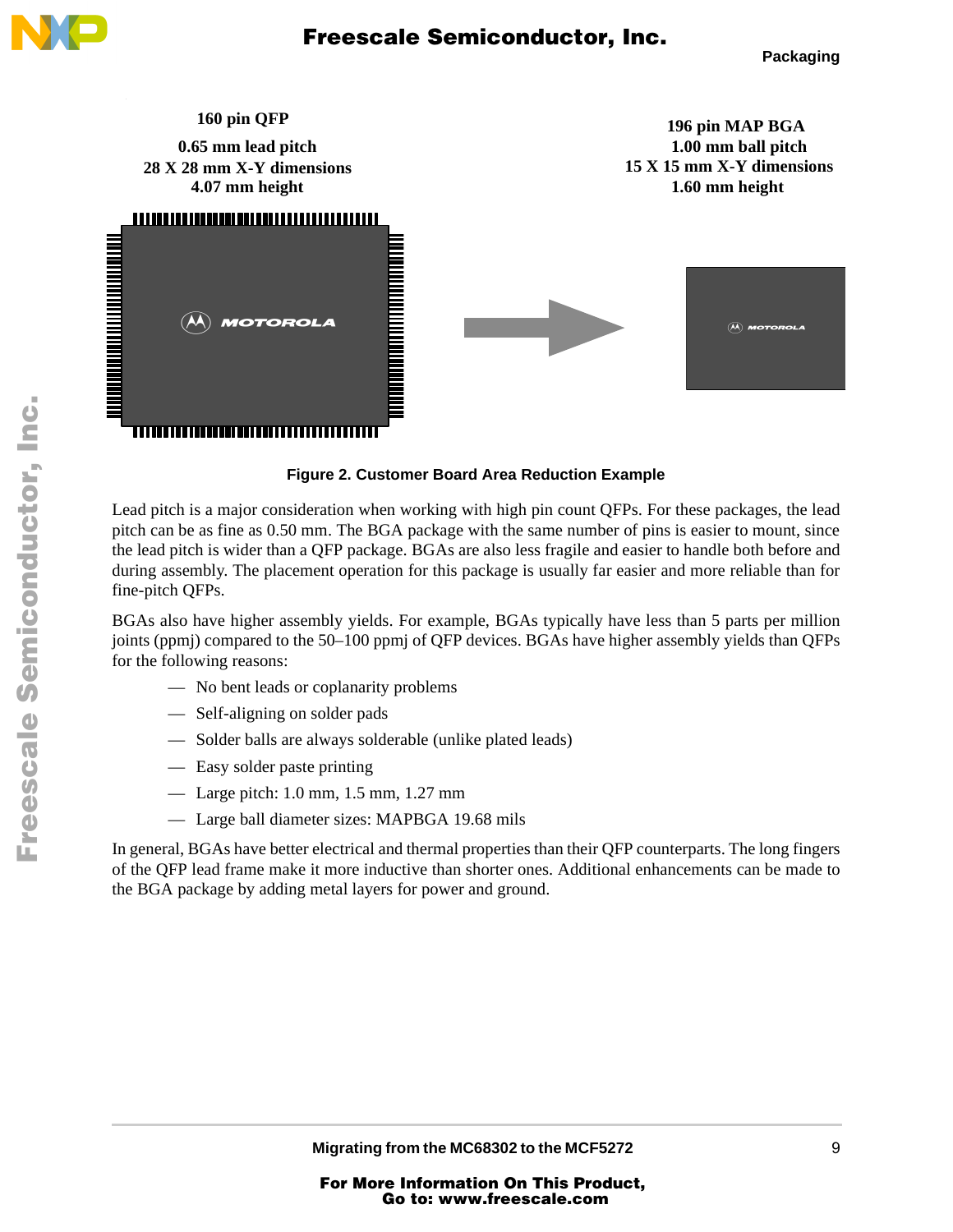

**Packaging**



#### **Figure 2. Customer Board Area Reduction Example**

<span id="page-8-0"></span>Lead pitch is a major consideration when working with high pin count QFPs. For these packages, the lead pitch can be as fine as 0.50 mm. The BGA package with the same number of pins is easier to mount, since the lead pitch is wider than a QFP package. BGAs are also less fragile and easier to handle both before and during assembly. The placement operation for this package is usually far easier and more reliable than for fine-pitch QFPs.

BGAs also have higher assembly yields. For example, BGAs typically have less than 5 parts per million joints (ppmj) compared to the 50–100 ppmj of QFP devices. BGAs have higher assembly yields than QFPs for the following reasons:

- No bent leads or coplanarity problems
- Self-aligning on solder pads
- Solder balls are always solderable (unlike plated leads)
- Easy solder paste printing
- Large pitch: 1.0 mm, 1.5 mm, 1.27 mm
- Large ball diameter sizes: MAPBGA 19.68 mils

In general, BGAs have better electrical and thermal properties than their QFP counterparts. The long fingers of the QFP lead frame make it more inductive than shorter ones. Additional enhancements can be made to the BGA package by adding metal layers for power and ground.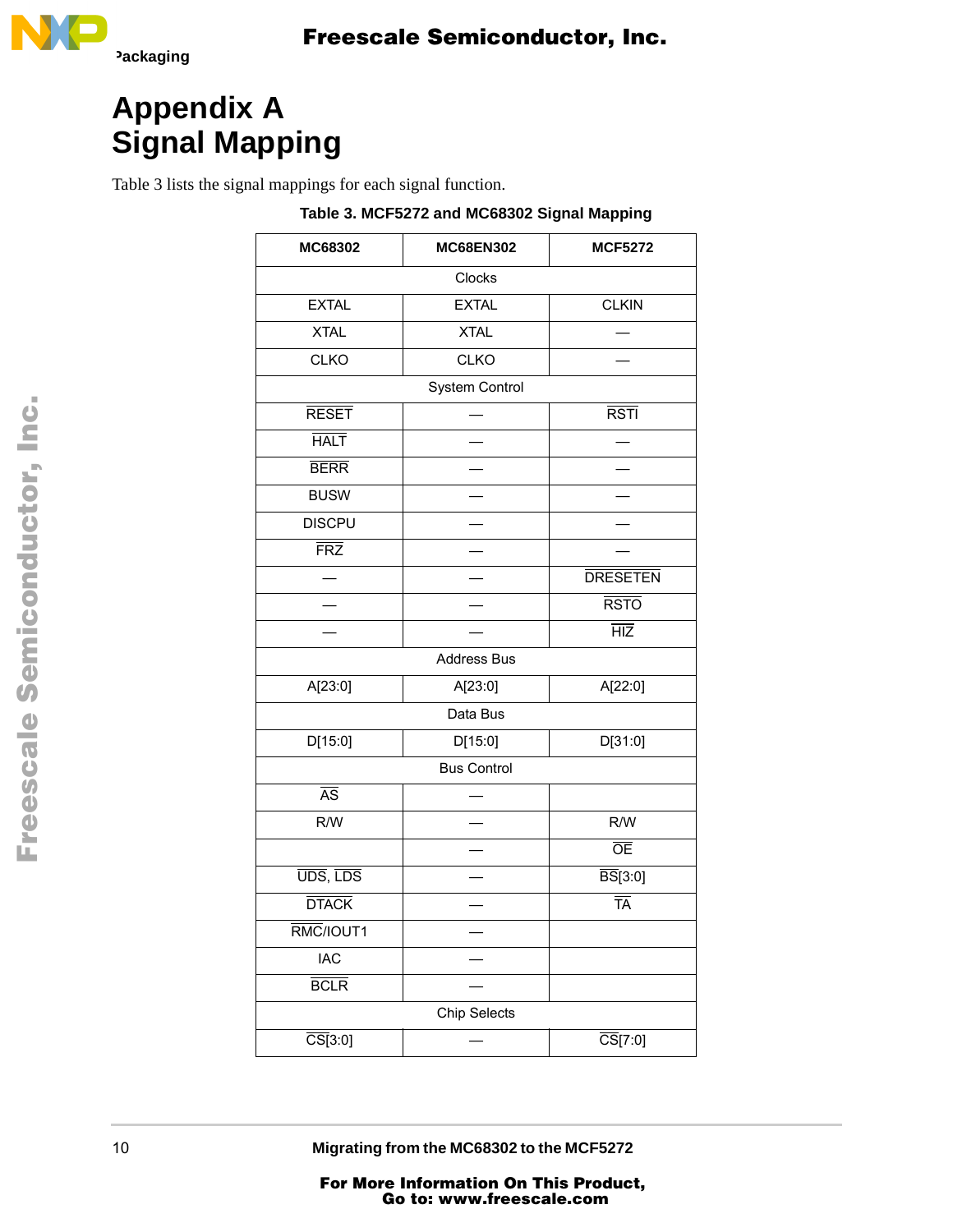

# <span id="page-9-0"></span>**Appendix A Signal Mapping**

<span id="page-9-1"></span>[Table 3](#page-9-1) lists the signal mappings for each signal function.

**Table 3. MCF5272 and MC68302 Signal Mapping**

| MC68302                                        | <b>MC68EN302</b>   | <b>MCF5272</b>                |  |
|------------------------------------------------|--------------------|-------------------------------|--|
| Clocks                                         |                    |                               |  |
| <b>EXTAL</b>                                   | <b>EXTAL</b>       | <b>CLKIN</b>                  |  |
| <b>XTAL</b>                                    | <b>XTAL</b>        |                               |  |
| <b>CLKO</b>                                    | <b>CLKO</b>        |                               |  |
|                                                | System Control     |                               |  |
| <b>RESET</b>                                   |                    | <b>RSTI</b>                   |  |
| <b>HALT</b>                                    |                    |                               |  |
| <b>BERR</b>                                    |                    |                               |  |
| <b>BUSW</b>                                    |                    |                               |  |
| <b>DISCPU</b>                                  |                    |                               |  |
| <b>FRZ</b>                                     |                    |                               |  |
|                                                |                    | <b>DRESETEN</b>               |  |
|                                                |                    | <b>RSTO</b>                   |  |
|                                                |                    | $\overline{HIZ}$              |  |
|                                                | <b>Address Bus</b> |                               |  |
| A[23:0]                                        | A[23:0]            | A[22:0]                       |  |
|                                                | Data Bus           |                               |  |
| D[15:0]                                        | D[15:0]            | D[31:0]                       |  |
| <b>Bus Control</b>                             |                    |                               |  |
| $\overline{AS}$                                |                    |                               |  |
| R/W                                            |                    | R/W                           |  |
|                                                |                    | <b>OE</b>                     |  |
| $\overline{\text{UDS}}, \overline{\text{LDS}}$ |                    | $\overline{\mathsf{BS}}[3:0]$ |  |
| <b>DTACK</b>                                   |                    | <b>TA</b>                     |  |
| RMC/IOUT1                                      |                    |                               |  |
| <b>IAC</b>                                     |                    |                               |  |
| <b>BCLR</b>                                    |                    |                               |  |
| Chip Selects                                   |                    |                               |  |
| $\overline{\text{CS}[3:0]}$                    |                    | $\overline{\text{CS}}[7:0]$   |  |

n

.<br>ق

10 **Migrating from the MC68302 to the MCF5272**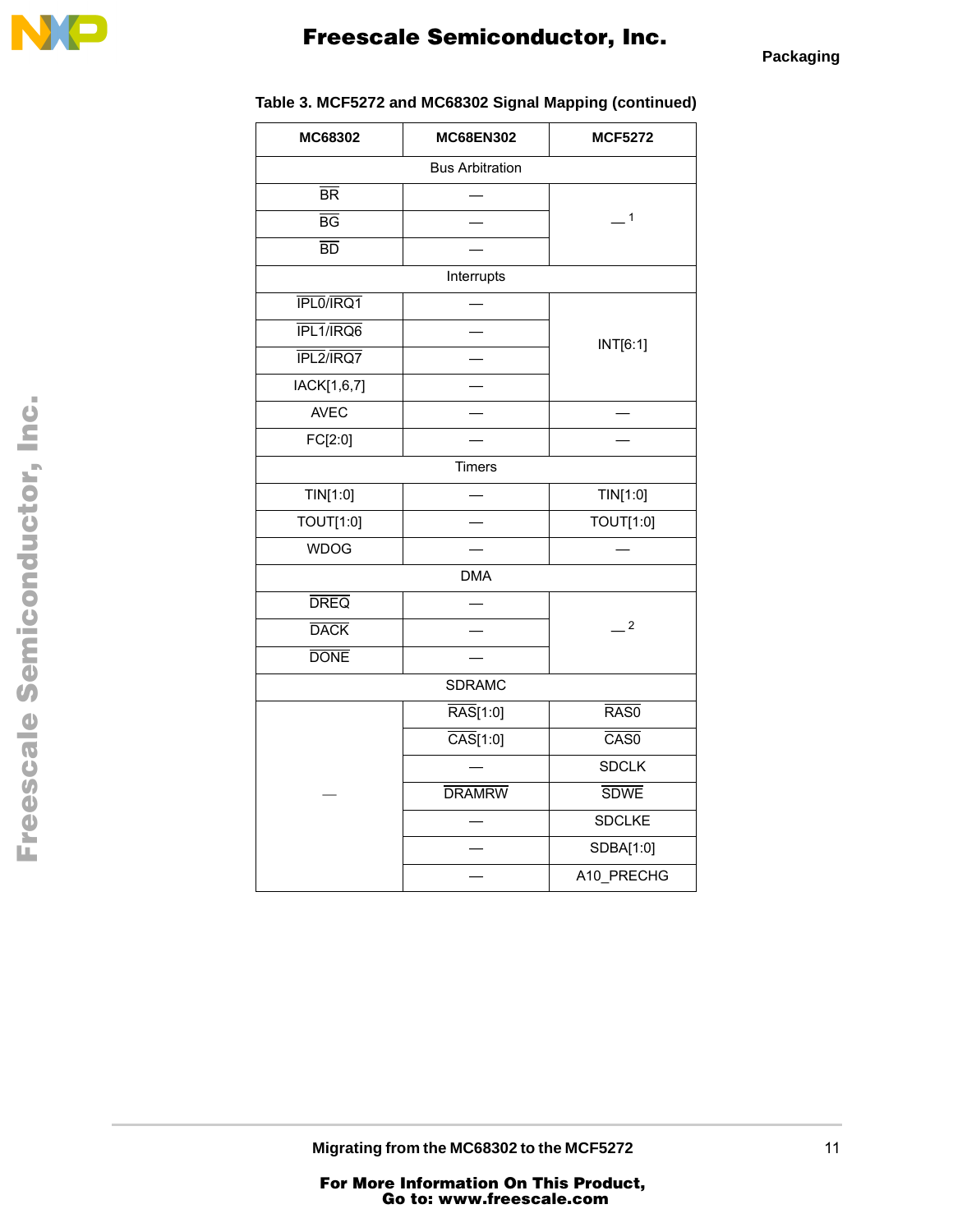

| MC68302                                         | <b>MC68EN302</b>       | <b>MCF5272</b>             |  |
|-------------------------------------------------|------------------------|----------------------------|--|
|                                                 | <b>Bus Arbitration</b> |                            |  |
| $\overline{\text{BR}}$                          |                        | $\overline{\phantom{0}}$ 1 |  |
| $\overline{BG}$                                 |                        |                            |  |
| $\overline{BD}$                                 |                        |                            |  |
|                                                 | Interrupts             |                            |  |
| IPLO/IRQ1                                       |                        |                            |  |
| IPL1/IRQ6                                       |                        |                            |  |
| $\overline{\text{IPL2}}/\overline{\text{IRQ7}}$ |                        | INT[6:1]                   |  |
| IACK[1,6,7]                                     |                        |                            |  |
| <b>AVEC</b>                                     |                        |                            |  |
| FC[2:0]                                         |                        |                            |  |
|                                                 | <b>Timers</b>          |                            |  |
| TIN[1:0]                                        |                        | TIN[1:0]                   |  |
| TOUT[1:0]                                       |                        | TOUT[1:0]                  |  |
| <b>WDOG</b>                                     |                        |                            |  |
|                                                 | <b>DMA</b>             |                            |  |
| <b>DREQ</b>                                     |                        |                            |  |
| <b>DACK</b>                                     |                        |                            |  |
| <b>DONE</b>                                     |                        |                            |  |
|                                                 | <b>SDRAMC</b>          |                            |  |
|                                                 | RAS[1:0]               | RAS0                       |  |
|                                                 | $\overline{CAS}[1:0]$  | CAS <sub>0</sub>           |  |
|                                                 |                        | <b>SDCLK</b>               |  |
|                                                 | <b>DRAMRW</b>          | <b>SDWE</b>                |  |
|                                                 |                        | <b>SDCLKE</b>              |  |
|                                                 |                        | SDBA[1:0]                  |  |
|                                                 |                        | A10 PRECHG                 |  |

#### **Table 3. MCF5272 and MC68302 Signal Mapping (continued)**

o  $\blacksquare$ d u  $\mathbf 0$ t o

r, I

n

.<br>ق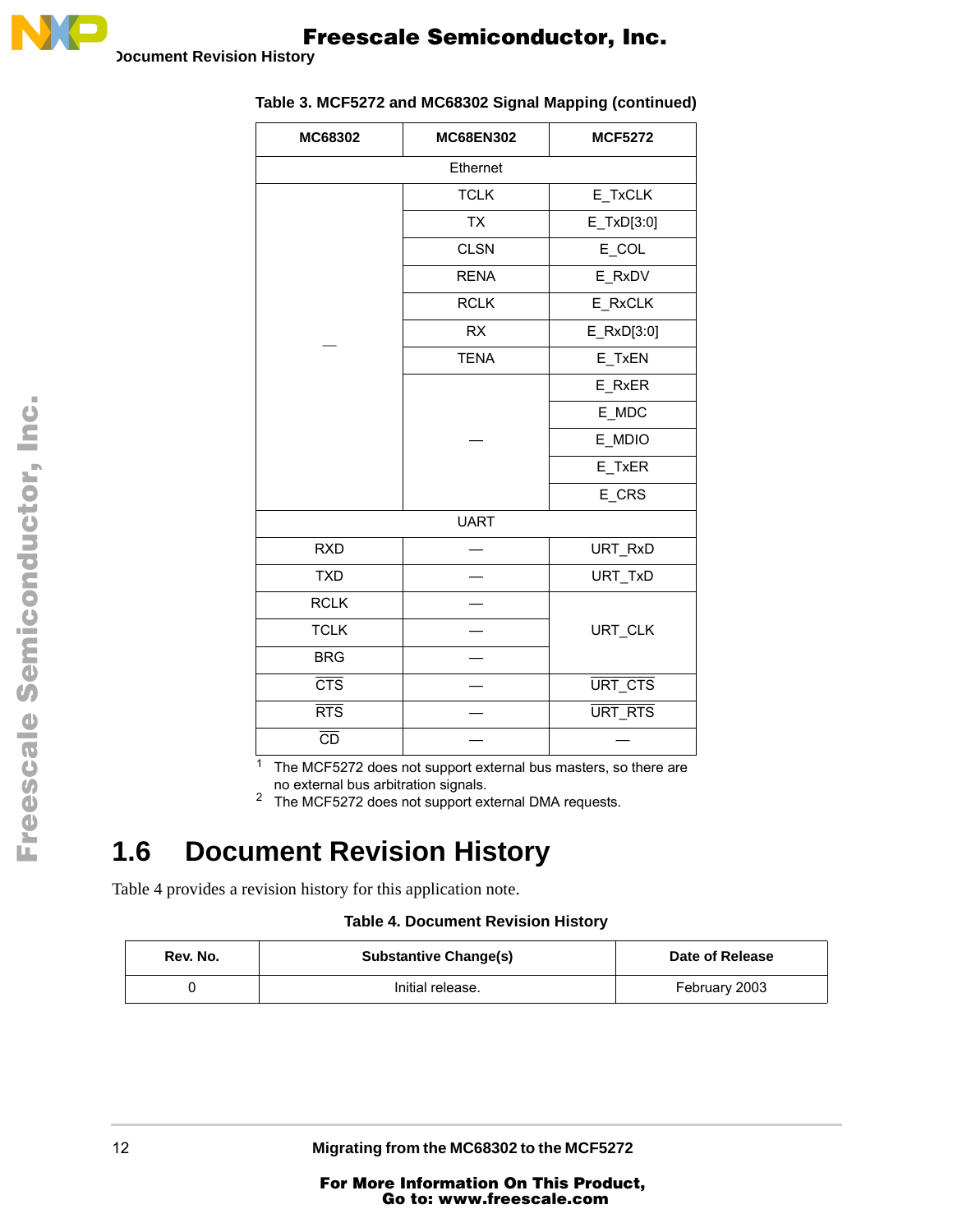

Ethernet — TCLK | E TxCLK TX E\_TxD[3:0] CLSN | E\_COL RENA | E\_RxDV RCLK | E RxCLK RX E\_RxD[3:0] TENA | E\_TxEN — E\_RxER E\_MDC E\_MDIO E\_TxER E\_CRS UART RXD | — | URT\_RxD TXD — URT\_TxD  $RCLK$   $\qquad$   $\qquad$ TCLK — URT\_CLK  $BRG$   $\qquad$   $\qquad$  $\overline{CTS}$   $\qquad$   $\qquad$   $\qquad$   $\qquad$   $\qquad$   $\qquad$   $\qquad$   $\qquad$   $\qquad$   $\qquad$   $\qquad$   $\qquad$   $\qquad$   $\qquad$   $\qquad$   $\qquad$   $\qquad$   $\qquad$   $\qquad$   $\qquad$   $\qquad$   $\qquad$   $\qquad$   $\qquad$   $\qquad$   $\qquad$   $\qquad$   $\qquad$   $\qquad$   $\qquad$   $\qquad$   $\qquad$   $\qquad$   $\qquad$   $\qquad$   $RTS$   $\sqrt{RT\_RTS}$ CD | — | — **MC68302 MC68EN302 MCF5272**

#### **Table 3. MCF5272 and MC68302 Signal Mapping (continued)**

 $1$  The MCF5272 does not support external bus masters, so there are no external bus arbitration signals.

<sup>2</sup> The MCF5272 does not support external DMA requests.

# <span id="page-11-0"></span>**1.6 Document Revision History**

<span id="page-11-1"></span>[Table 4](#page-11-1) provides a revision history for this application note.

#### **Table 4. Document Revision History**

| Rev. No. | <b>Substantive Change(s)</b> | Date of Release |
|----------|------------------------------|-----------------|
|          | Initial release.             | February 2003   |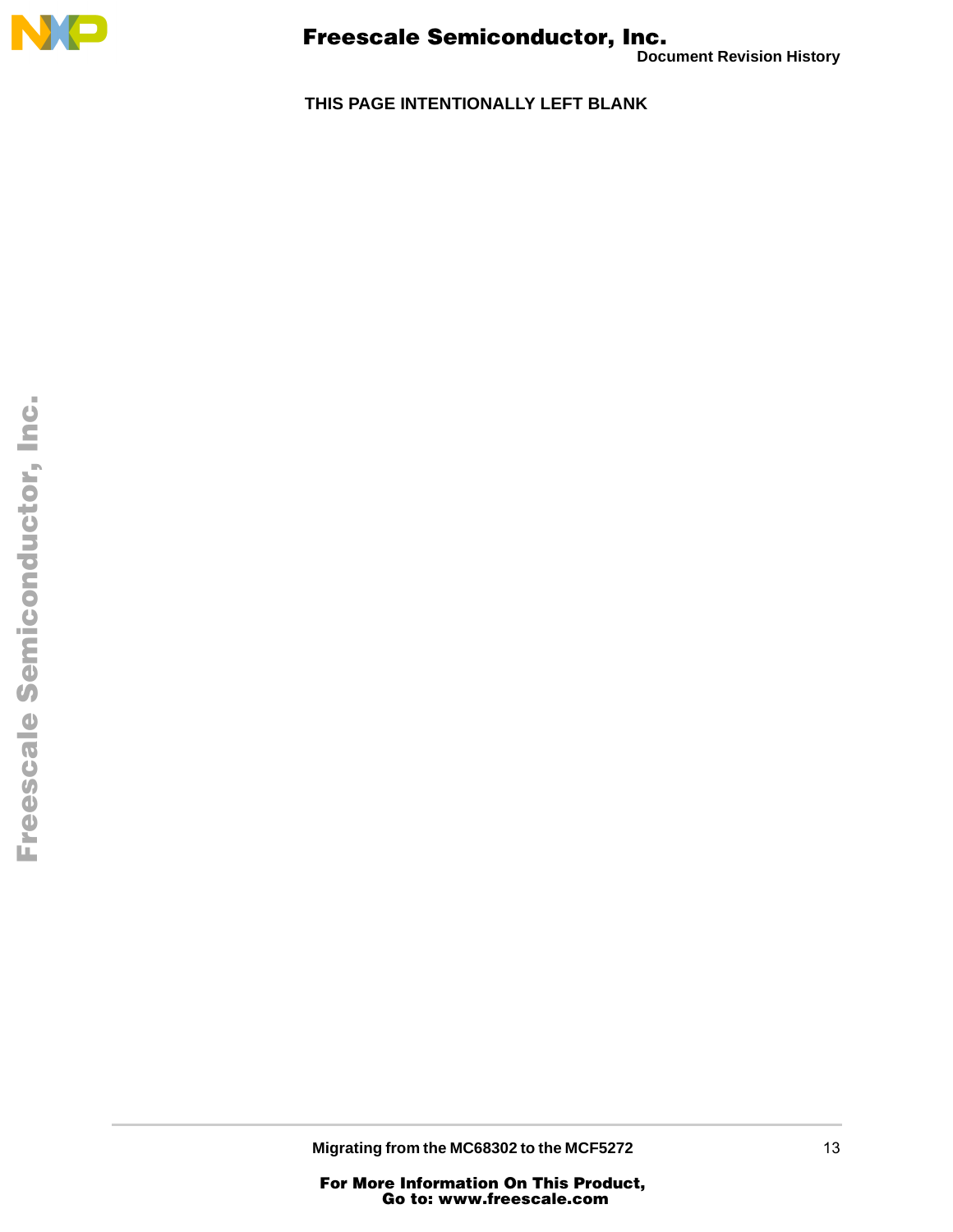

**Document Revision History**

**THIS PAGE INTENTIONALLY LEFT BLANK**

**Migrating from the MC68302 to the MCF5272** 13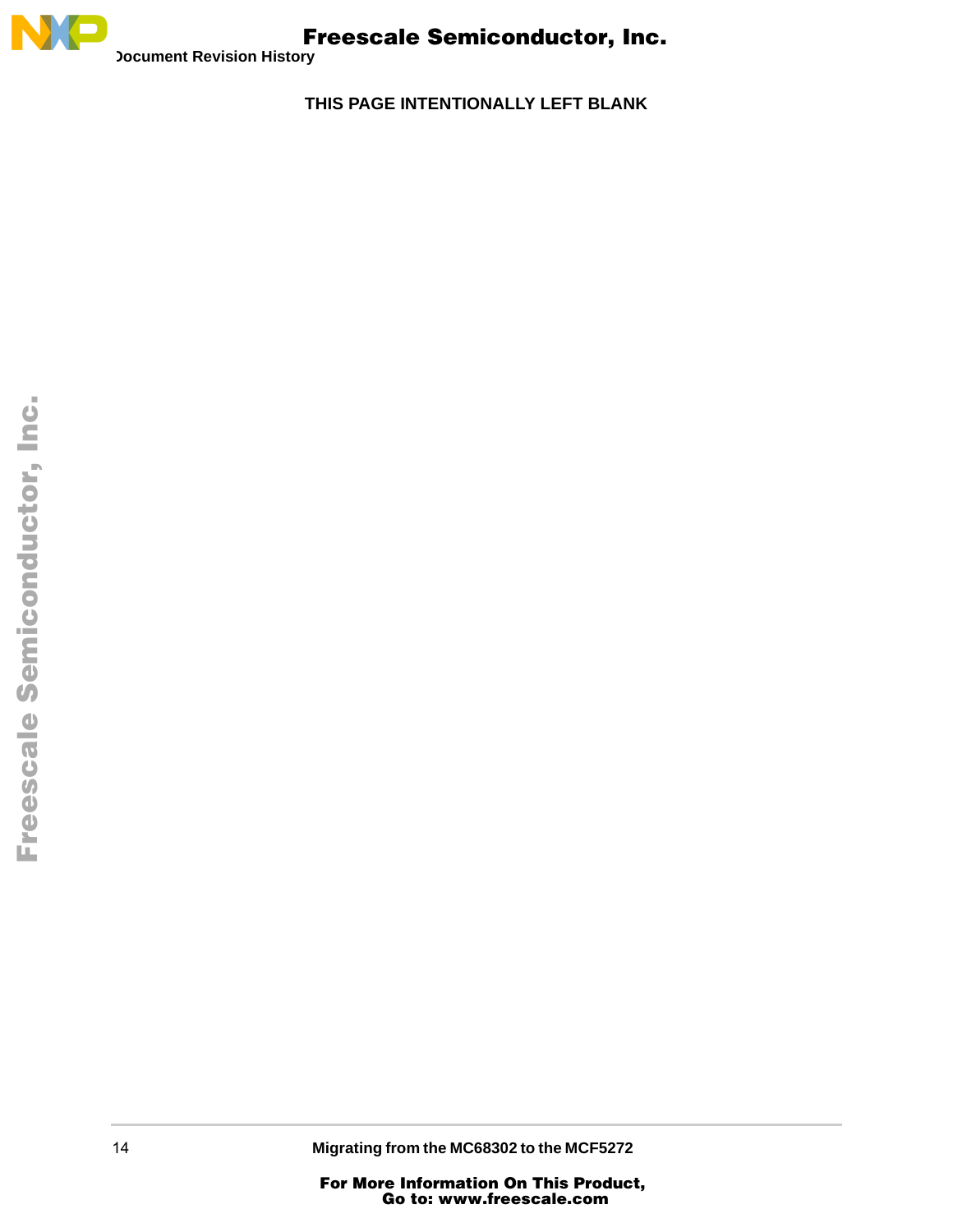

**THIS PAGE INTENTIONALLY LEFT BLANK**

14 **Migrating from the MC68302 to the MCF5272**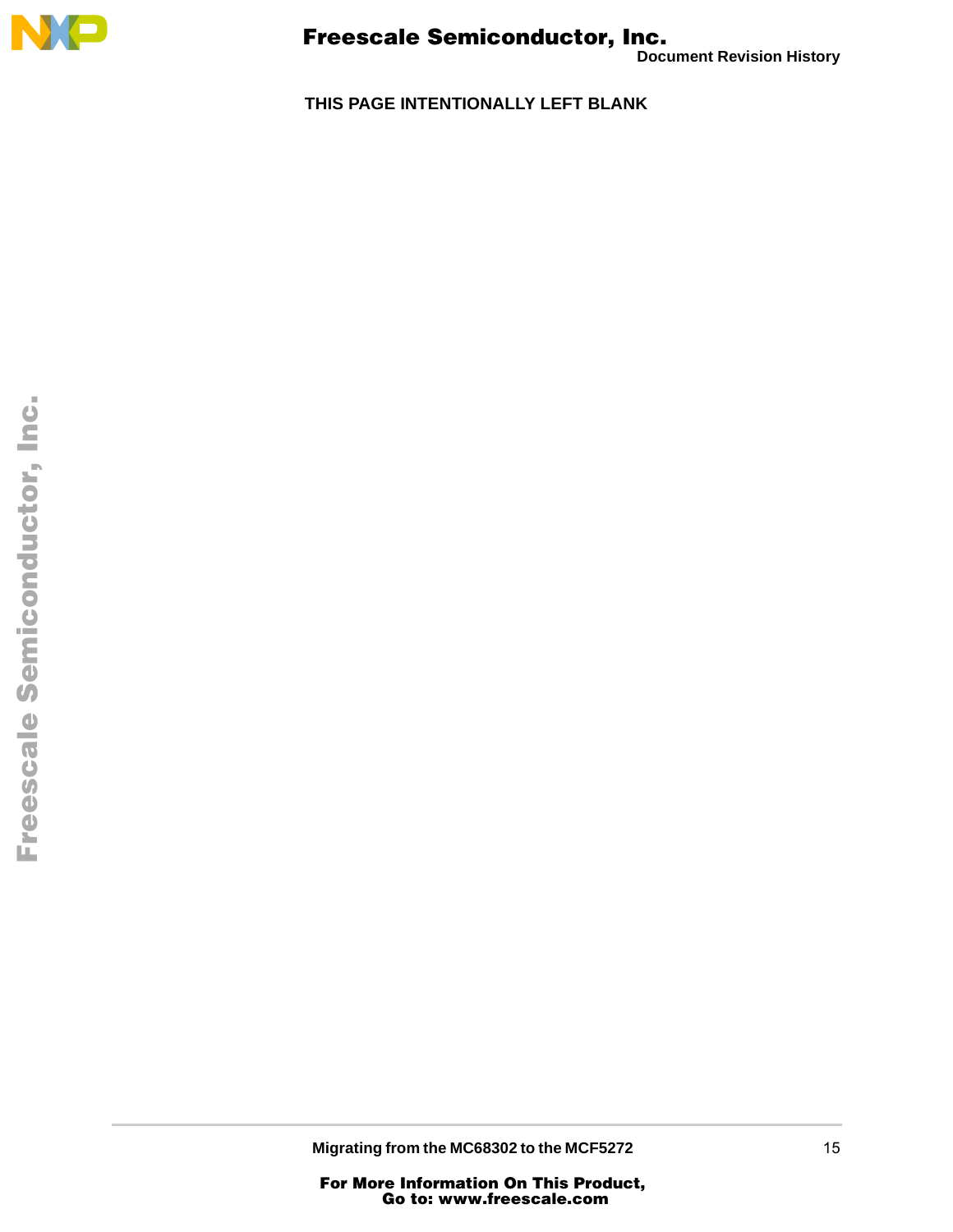

**Document Revision History**

**THIS PAGE INTENTIONALLY LEFT BLANK**

**Migrating from the MC68302 to the MCF5272** 15